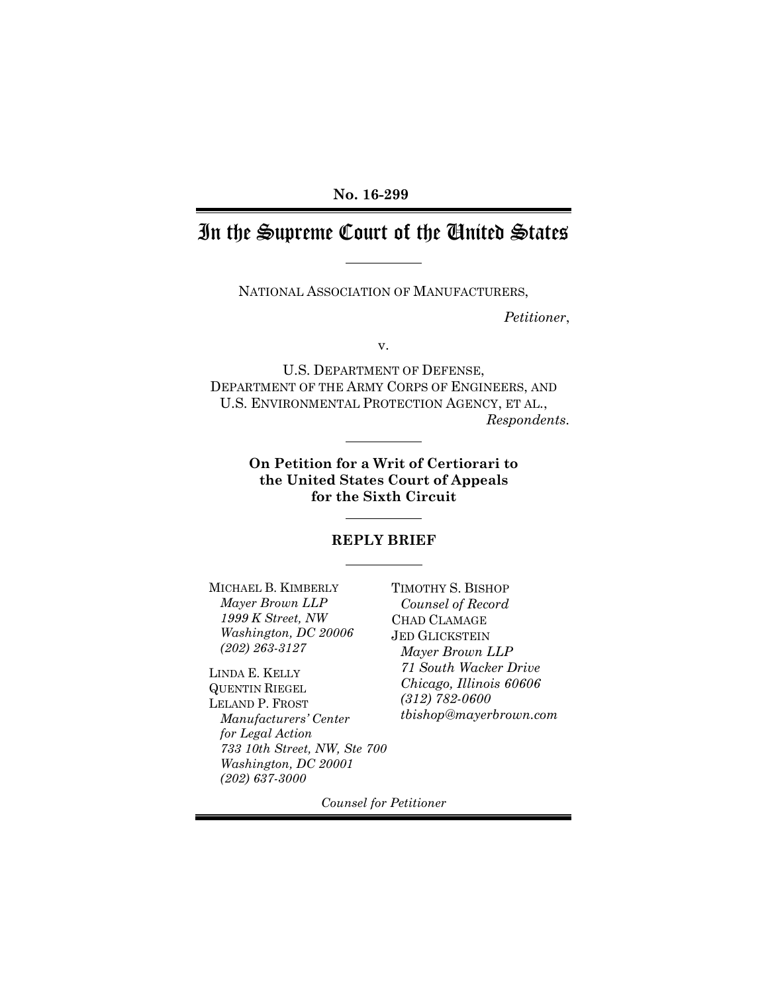### **No. 16-299**

# In the Supreme Court of the United States

NATIONAL ASSOCIATION OF MANUFACTURERS,

*Petitioner*,

v.

U.S. DEPARTMENT OF DEFENSE, DEPARTMENT OF THE ARMY CORPS OF ENGINEERS, AND U.S. ENVIRONMENTAL PROTECTION AGENCY, ET AL., *Respondents.*

> **On Petition for a Writ of Certiorari to the United States Court of Appeals for the Sixth Circuit**

#### **REPLY BRIEF**

MICHAEL B. KIMBERLY *Mayer Brown LLP 1999 K Street, NW Washington, DC 20006 (202) 263-3127*

LINDA E. KELLY QUENTIN RIEGEL LELAND P. FROST *Manufacturers' Center for Legal Action 733 10th Street, NW, Ste 700 Washington, DC 20001 (202) 637-3000*

TIMOTHY S. BISHOP *Counsel of Record* CHAD CLAMAGE JED GLICKSTEIN *Mayer Brown LLP 71 South Wacker Drive Chicago, Illinois 60606 (312) 782-0600 tbishop@mayerbrown.com*

*Counsel for Petitioner*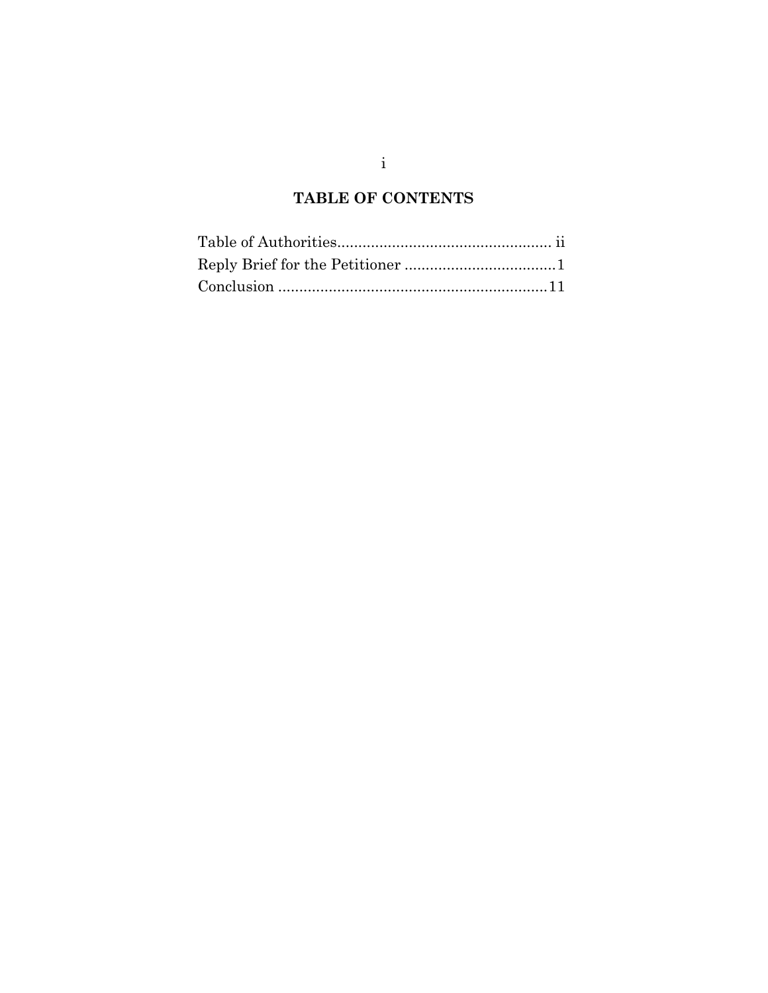## **TABLE OF CONTENTS**

i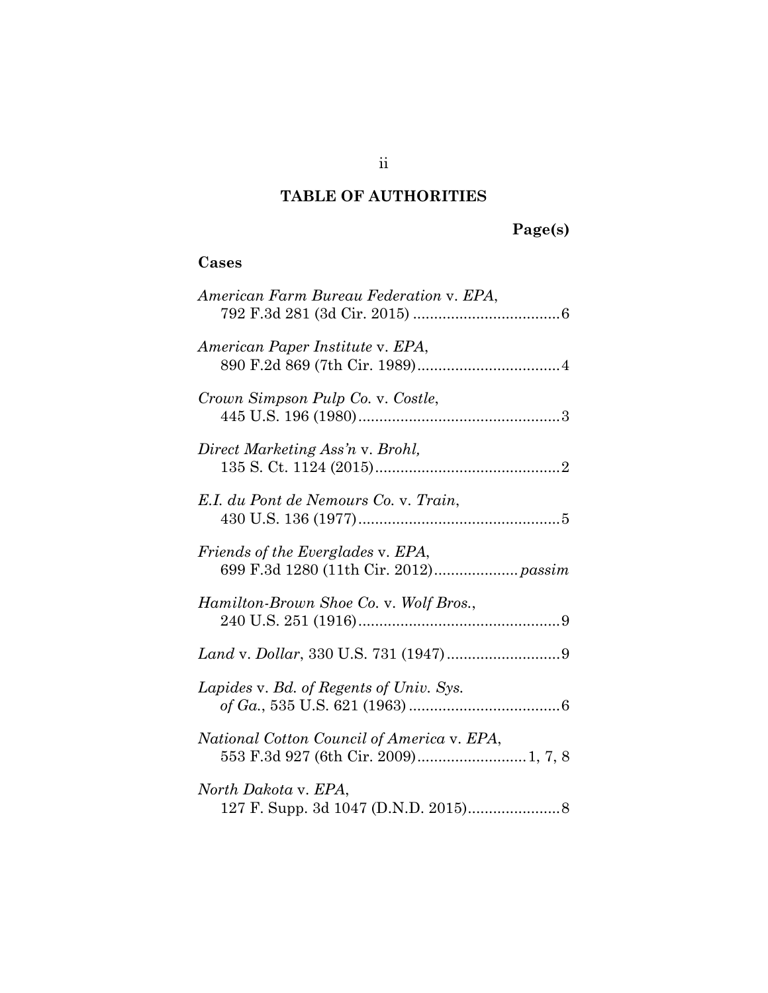## **TABLE OF AUTHORITIES**

# **Page(s)**

## **Cases**

| American Farm Bureau Federation v. EPA,                                            |
|------------------------------------------------------------------------------------|
| American Paper Institute v. EPA,                                                   |
| Crown Simpson Pulp Co. v. Costle,                                                  |
| Direct Marketing Ass'n v. Brohl,                                                   |
| E.I. du Pont de Nemours Co. v. Train,                                              |
| Friends of the Everglades v. EPA,<br>699 F.3d 1280 (11th Cir. 2012) passim         |
| Hamilton-Brown Shoe Co. v. Wolf Bros.,                                             |
|                                                                                    |
| Lapides v. Bd. of Regents of Univ. Sys.                                            |
| National Cotton Council of America v. EPA,<br>553 F.3d 927 (6th Cir. 2009) 1, 7, 8 |
| North Dakota v. EPA,                                                               |

ii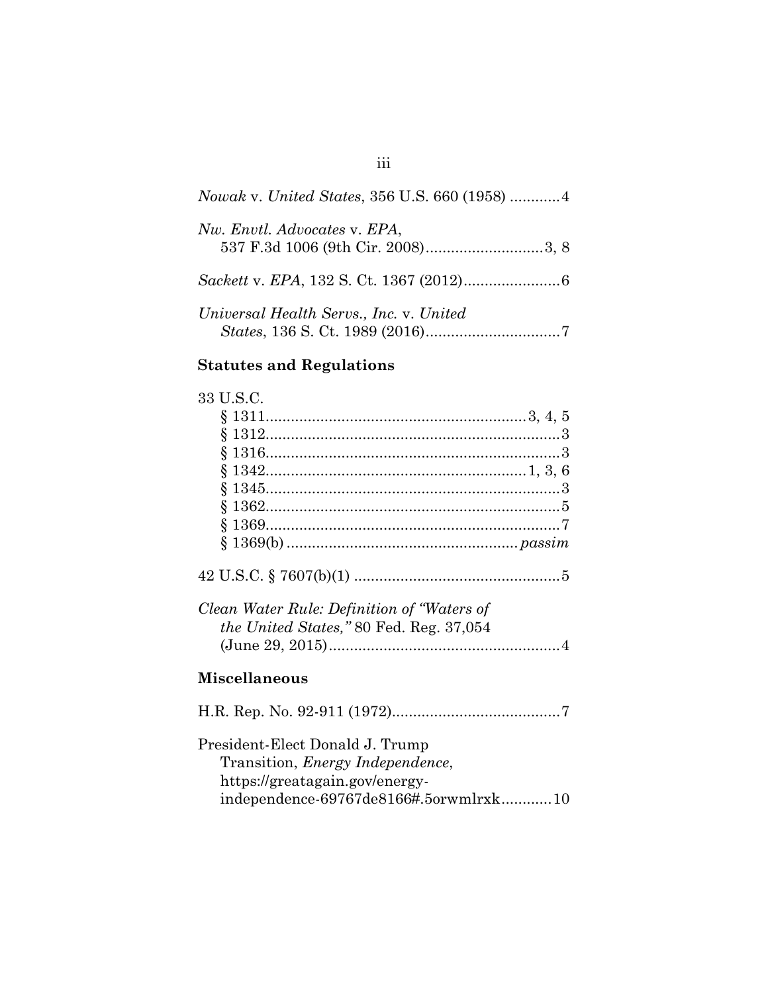| Nowak v. United States, 356 U.S. 660 (1958)  4 |
|------------------------------------------------|
| Nw. Envtl. Advocates v. EPA,                   |
|                                                |
| Universal Health Servs., Inc. v. United        |

# **Statutes and Regulations**

| 33 U.S.C.                                       |
|-------------------------------------------------|
|                                                 |
|                                                 |
|                                                 |
|                                                 |
|                                                 |
|                                                 |
|                                                 |
|                                                 |
|                                                 |
| Clean Water Rule: Definition of "Waters of      |
| <i>the United States,</i> " 80 Fed. Reg. 37,054 |
|                                                 |
| <b>Miscellaneous</b>                            |
|                                                 |
| President-Elect Donald J. Trump                 |
| Transition, <i>Energy Independence</i> ,        |
| https://greatagain.gov/energy-                  |
| independence-69767de8166#.5orwmlrxk10           |

# iii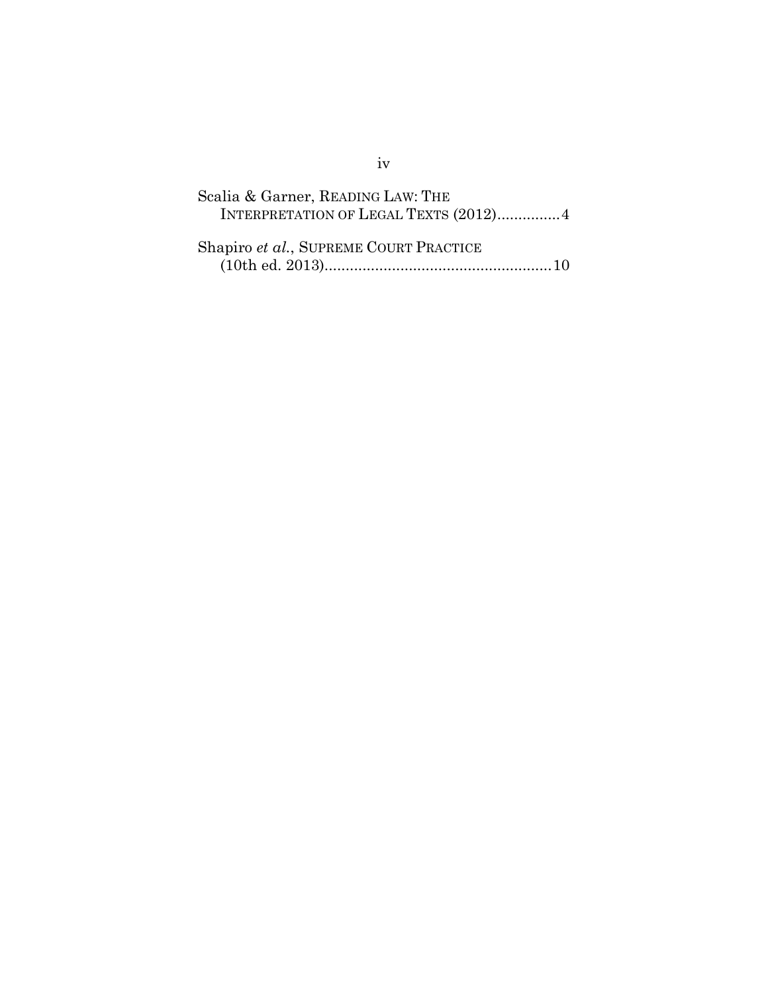| Scalia & Garner, READING LAW: THE<br>INTERPRETATION OF LEGAL TEXTS (2012)4 |
|----------------------------------------------------------------------------|
| Shapiro et al., SUPREME COURT PRACTICE                                     |

## iv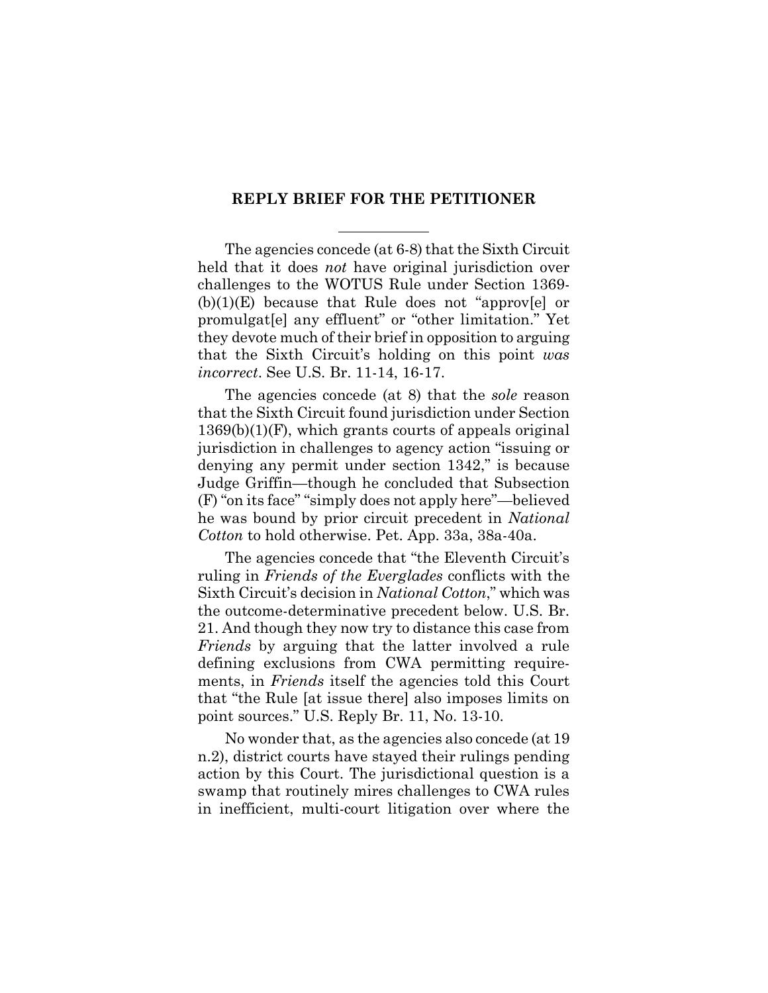#### **REPLY BRIEF FOR THE PETITIONER**

The agencies concede (at 6-8) that the Sixth Circuit held that it does *not* have original jurisdiction over challenges to the WOTUS Rule under Section 1369-  $(b)(1)(E)$  because that Rule does not "approv[e] or promulgat[e] any effluent" or "other limitation." Yet they devote much of their brief in opposition to arguing that the Sixth Circuit's holding on this point *was incorrect*. See U.S. Br. 11-14, 16-17.

The agencies concede (at 8) that the *sole* reason that the Sixth Circuit found jurisdiction under Section 1369(b)(1)(F), which grants courts of appeals original jurisdiction in challenges to agency action "issuing or denying any permit under section 1342," is because Judge Griffin—though he concluded that Subsection (F) "on its face" "simply does not apply here"—believed he was bound by prior circuit precedent in *National Cotton* to hold otherwise. Pet. App. 33a, 38a-40a.

The agencies concede that "the Eleventh Circuit's ruling in *Friends of the Everglades* conflicts with the Sixth Circuit's decision in *National Cotton*," which was the outcome-determinative precedent below. U.S. Br. 21. And though they now try to distance this case from *Friends* by arguing that the latter involved a rule defining exclusions from CWA permitting requirements, in *Friends* itself the agencies told this Court that "the Rule [at issue there] also imposes limits on point sources." U.S. Reply Br. 11, No. 13-10.

No wonder that, as the agencies also concede (at 19 n.2), district courts have stayed their rulings pending action by this Court. The jurisdictional question is a swamp that routinely mires challenges to CWA rules in inefficient, multi-court litigation over where the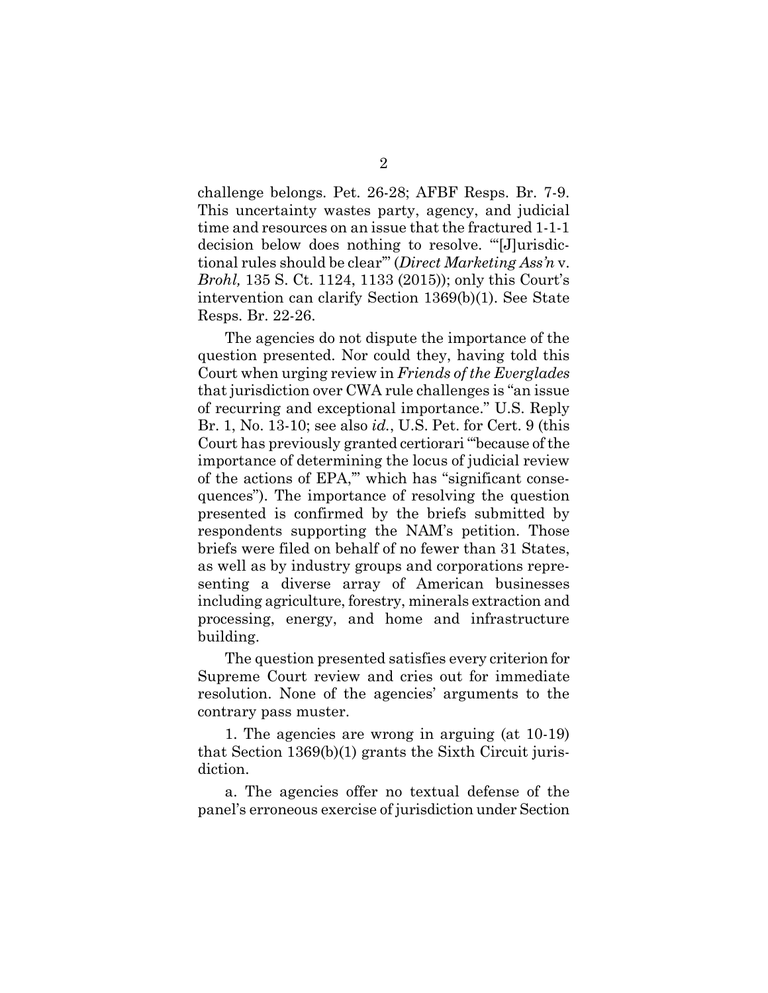challenge belongs. Pet. 26-28; AFBF Resps. Br. 7-9. This uncertainty wastes party, agency, and judicial time and resources on an issue that the fractured 1-1-1 decision below does nothing to resolve. "'[J]urisdictional rules should be clear'" (*Direct Marketing Ass'n* v. *Brohl,* 135 S. Ct. 1124, 1133 (2015)); only this Court's intervention can clarify Section 1369(b)(1). See State Resps. Br. 22-26.

The agencies do not dispute the importance of the question presented. Nor could they, having told this Court when urging review in *Friends of the Everglades* that jurisdiction over CWA rule challenges is "an issue of recurring and exceptional importance." U.S. Reply Br. 1, No. 13-10; see also *id.*, U.S. Pet. for Cert. 9 (this Court has previously granted certiorari "'because of the importance of determining the locus of judicial review of the actions of EPA,'" which has "significant consequences"). The importance of resolving the question presented is confirmed by the briefs submitted by respondents supporting the NAM's petition. Those briefs were filed on behalf of no fewer than 31 States, as well as by industry groups and corporations representing a diverse array of American businesses including agriculture, forestry, minerals extraction and processing, energy, and home and infrastructure building.

The question presented satisfies every criterion for Supreme Court review and cries out for immediate resolution. None of the agencies' arguments to the contrary pass muster.

1. The agencies are wrong in arguing (at 10-19) that Section 1369(b)(1) grants the Sixth Circuit jurisdiction.

a. The agencies offer no textual defense of the panel's erroneous exercise of jurisdiction under Section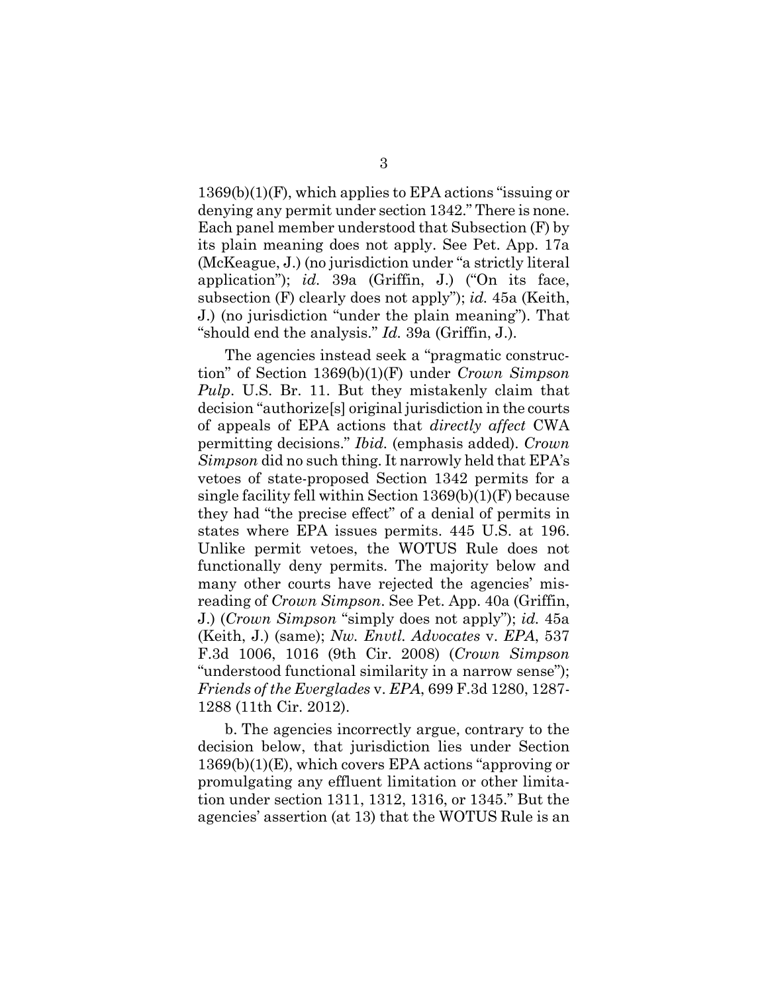1369(b)(1)(F), which applies to EPA actions "issuing or denying any permit under section 1342." There is none. Each panel member understood that Subsection (F) by its plain meaning does not apply. See Pet. App. 17a (McKeague, J.) (no jurisdiction under "a strictly literal application"); *id.* 39a (Griffin, J.) ("On its face, subsection (F) clearly does not apply"); *id.* 45a (Keith, J.) (no jurisdiction "under the plain meaning"). That "should end the analysis." *Id.* 39a (Griffin, J.).

The agencies instead seek a "pragmatic construction" of Section 1369(b)(1)(F) under *Crown Simpson Pulp*. U.S. Br. 11. But they mistakenly claim that decision "authorize[s] original jurisdiction in the courts of appeals of EPA actions that *directly affect* CWA permitting decisions." *Ibid.* (emphasis added). *Crown Simpson* did no such thing. It narrowly held that EPA's vetoes of state-proposed Section 1342 permits for a single facility fell within Section 1369(b)(1)(F) because they had "the precise effect" of a denial of permits in states where EPA issues permits. 445 U.S. at 196. Unlike permit vetoes, the WOTUS Rule does not functionally deny permits. The majority below and many other courts have rejected the agencies' misreading of *Crown Simpson*. See Pet. App. 40a (Griffin, J.) (*Crown Simpson* "simply does not apply"); *id.* 45a (Keith, J.) (same); *Nw. Envtl. Advocates* v. *EPA*, 537 F.3d 1006, 1016 (9th Cir. 2008) (*Crown Simpson* "understood functional similarity in a narrow sense"); *Friends of the Everglades* v. *EPA*, 699 F.3d 1280, 1287- 1288 (11th Cir. 2012).

b. The agencies incorrectly argue, contrary to the decision below, that jurisdiction lies under Section 1369(b)(1)(E), which covers EPA actions "approving or promulgating any effluent limitation or other limitation under section 1311, 1312, 1316, or 1345." But the agencies' assertion (at 13) that the WOTUS Rule is an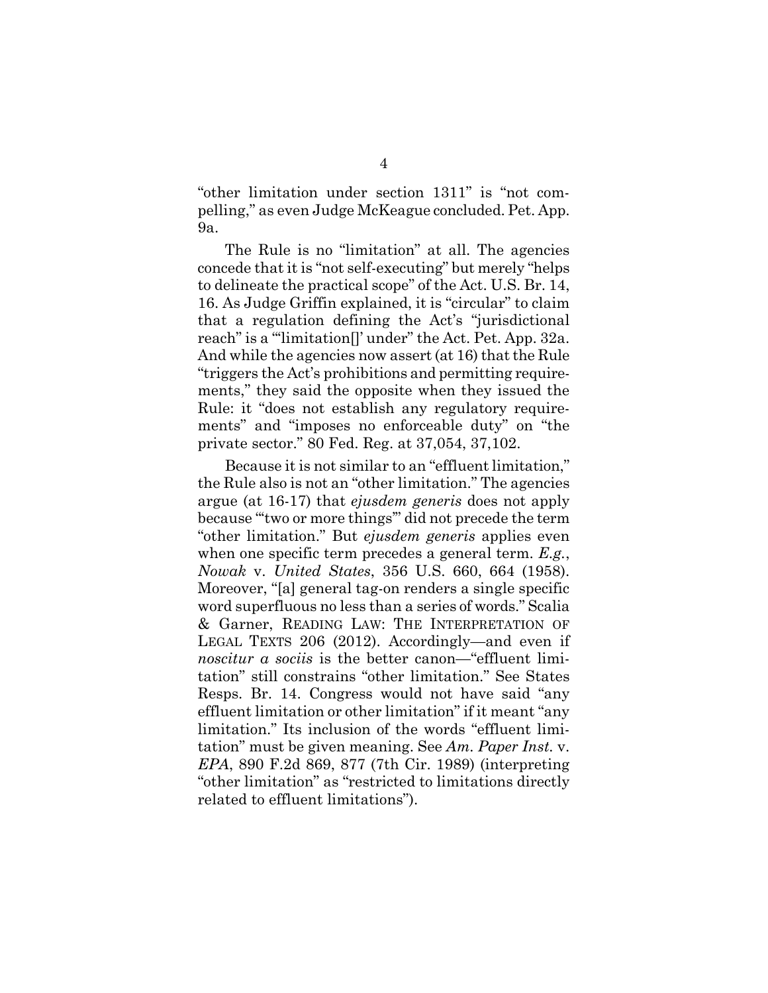"other limitation under section 1311" is "not compelling," as even Judge McKeague concluded. Pet. App. 9a.

The Rule is no "limitation" at all. The agencies concede that it is "not self-executing" but merely "helps to delineate the practical scope" of the Act. U.S. Br. 14, 16. As Judge Griffin explained, it is "circular" to claim that a regulation defining the Act's "jurisdictional reach" is a "'limitation<sup>'</sup>" under" the Act. Pet. App. 32a. And while the agencies now assert (at 16) that the Rule "triggers the Act's prohibitions and permitting requirements," they said the opposite when they issued the Rule: it "does not establish any regulatory requirements" and "imposes no enforceable duty" on "the private sector." 80 Fed. Reg. at 37,054, 37,102.

Because it is not similar to an "effluent limitation," the Rule also is not an "other limitation." The agencies argue (at 16-17) that *ejusdem generis* does not apply because "'two or more things'" did not precede the term "other limitation." But *ejusdem generis* applies even when one specific term precedes a general term. *E.g.*, *Nowak* v. *United States*, 356 U.S. 660, 664 (1958). Moreover, "[a] general tag-on renders a single specific word superfluous no less than a series of words." Scalia & Garner, READING LAW: THE INTERPRETATION OF LEGAL TEXTS 206 (2012). Accordingly—and even if *noscitur a sociis* is the better canon—"effluent limitation" still constrains "other limitation." See States Resps. Br. 14. Congress would not have said "any effluent limitation or other limitation" if it meant "any limitation." Its inclusion of the words "effluent limitation" must be given meaning. See *Am. Paper Inst.* v. *EPA*, 890 F.2d 869, 877 (7th Cir. 1989) (interpreting "other limitation" as "restricted to limitations directly related to effluent limitations").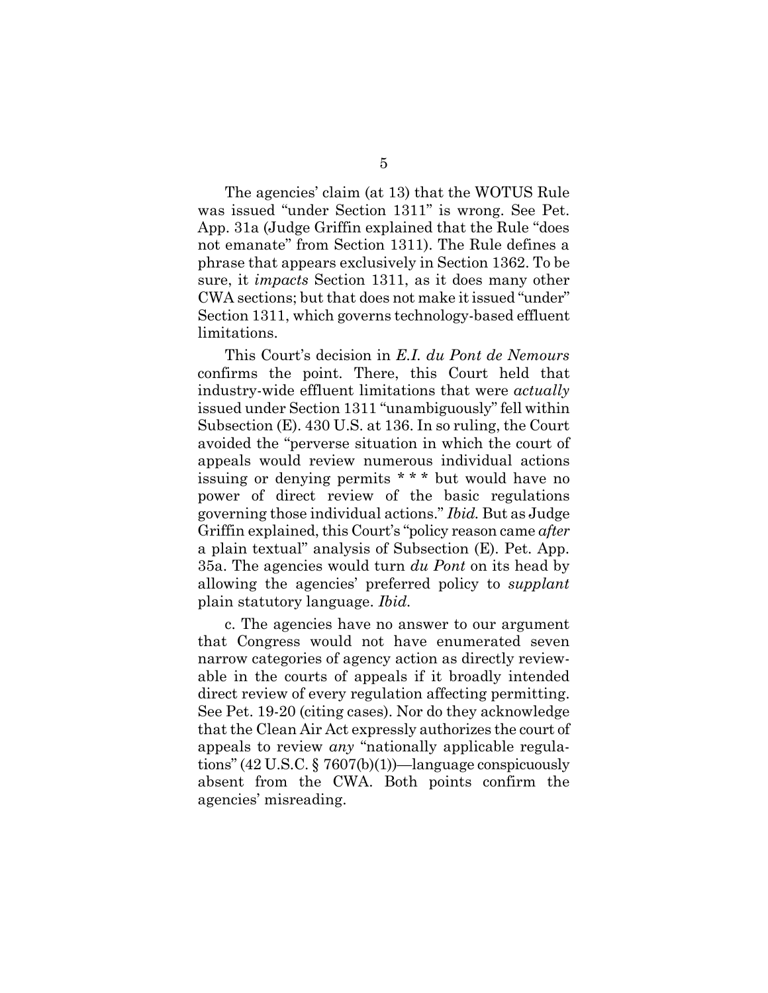The agencies' claim (at 13) that the WOTUS Rule was issued "under Section 1311" is wrong. See Pet. App. 31a (Judge Griffin explained that the Rule "does not emanate" from Section 1311). The Rule defines a phrase that appears exclusively in Section 1362. To be sure, it *impacts* Section 1311, as it does many other CWA sections; but that does not make it issued "under" Section 1311, which governs technology-based effluent limitations.

This Court's decision in *E.I. du Pont de Nemours* confirms the point. There, this Court held that industry-wide effluent limitations that were *actually* issued under Section 1311 "unambiguously" fell within Subsection (E). 430 U.S. at 136. In so ruling, the Court avoided the "perverse situation in which the court of appeals would review numerous individual actions issuing or denying permits \* \* \* but would have no power of direct review of the basic regulations governing those individual actions." *Ibid.* But as Judge Griffin explained, this Court's "policy reason came *after* a plain textual" analysis of Subsection (E). Pet. App. 35a. The agencies would turn *du Pont* on its head by allowing the agencies' preferred policy to *supplant* plain statutory language. *Ibid.*

c. The agencies have no answer to our argument that Congress would not have enumerated seven narrow categories of agency action as directly reviewable in the courts of appeals if it broadly intended direct review of every regulation affecting permitting. See Pet. 19-20 (citing cases). Nor do they acknowledge that the Clean Air Act expressly authorizes the court of appeals to review *any* "nationally applicable regulations" (42 U.S.C. § 7607(b)(1))—language conspicuously absent from the CWA. Both points confirm the agencies' misreading.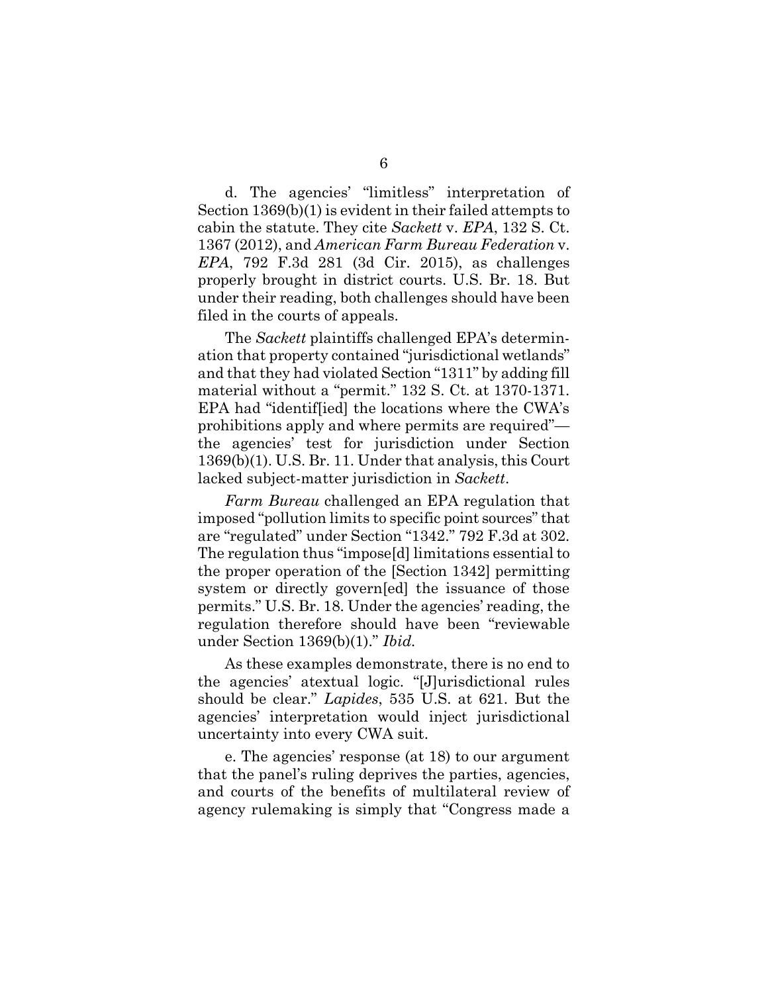d. The agencies' "limitless" interpretation of Section 1369(b)(1) is evident in their failed attempts to cabin the statute. They cite *Sackett* v. *EPA*, 132 S. Ct. 1367 (2012), and *American Farm Bureau Federation* v. *EPA*, 792 F.3d 281 (3d Cir. 2015), as challenges properly brought in district courts. U.S. Br. 18. But under their reading, both challenges should have been filed in the courts of appeals.

The *Sackett* plaintiffs challenged EPA's determination that property contained "jurisdictional wetlands" and that they had violated Section "1311" by adding fill material without a "permit." 132 S. Ct. at 1370-1371. EPA had "identif[ied] the locations where the CWA's prohibitions apply and where permits are required" the agencies' test for jurisdiction under Section 1369(b)(1). U.S. Br. 11. Under that analysis, this Court lacked subject-matter jurisdiction in *Sackett*.

*Farm Bureau* challenged an EPA regulation that imposed "pollution limits to specific point sources" that are "regulated" under Section "1342." 792 F.3d at 302. The regulation thus "impose[d] limitations essential to the proper operation of the [Section 1342] permitting system or directly govern[ed] the issuance of those permits." U.S. Br. 18. Under the agencies' reading, the regulation therefore should have been "reviewable under Section 1369(b)(1)." *Ibid.*

As these examples demonstrate, there is no end to the agencies' atextual logic. "[J]urisdictional rules should be clear." *Lapides*, 535 U.S. at 621. But the agencies' interpretation would inject jurisdictional uncertainty into every CWA suit.

e. The agencies' response (at 18) to our argument that the panel's ruling deprives the parties, agencies, and courts of the benefits of multilateral review of agency rulemaking is simply that "Congress made a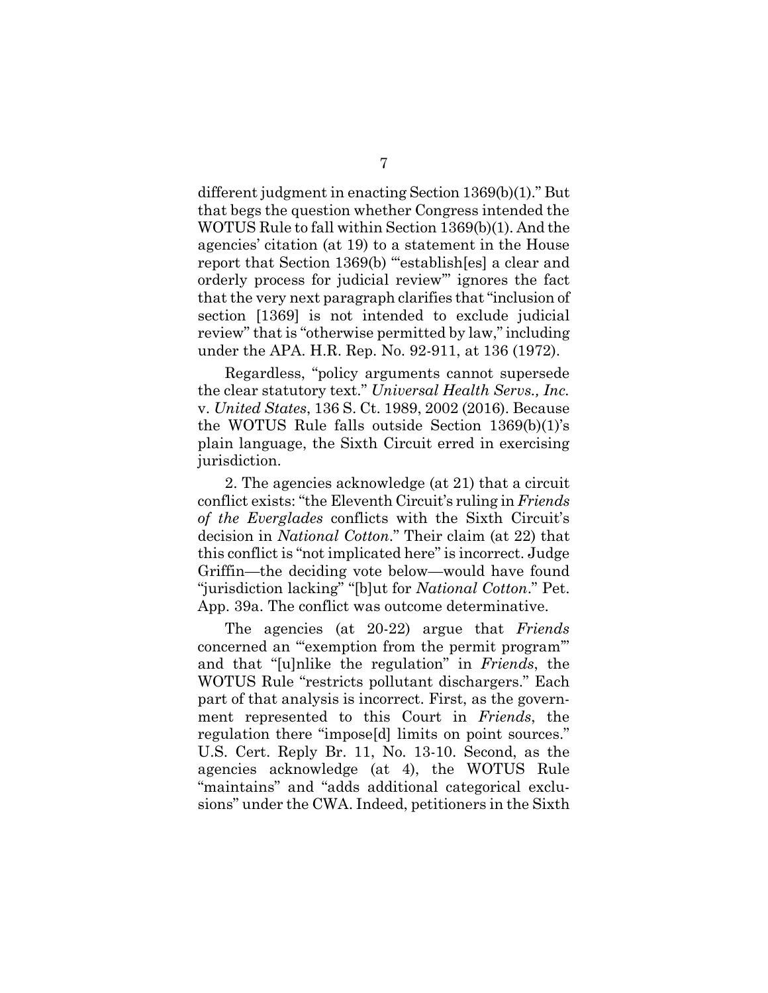different judgment in enacting Section 1369(b)(1)." But that begs the question whether Congress intended the WOTUS Rule to fall within Section 1369(b)(1). And the agencies' citation (at 19) to a statement in the House report that Section 1369(b) "establish[es] a clear and orderly process for judicial review'" ignores the fact that the very next paragraph clarifies that "inclusion of section [1369] is not intended to exclude judicial review" that is "otherwise permitted by law," including under the APA. H.R. Rep. No. 92-911, at 136 (1972).

Regardless, "policy arguments cannot supersede the clear statutory text." *Universal Health Servs., Inc.* v. *United States*, 136 S. Ct. 1989, 2002 (2016). Because the WOTUS Rule falls outside Section 1369(b)(1)'s plain language, the Sixth Circuit erred in exercising jurisdiction.

2. The agencies acknowledge (at 21) that a circuit conflict exists: "the Eleventh Circuit's ruling in *Friends of the Everglades* conflicts with the Sixth Circuit's decision in *National Cotton*." Their claim (at 22) that this conflict is "not implicated here" is incorrect. Judge Griffin—the deciding vote below—would have found "jurisdiction lacking" "[b]ut for *National Cotton*." Pet. App. 39a. The conflict was outcome determinative.

The agencies (at 20-22) argue that *Friends* concerned an "'exemption from the permit program'" and that "[u]nlike the regulation" in *Friends*, the WOTUS Rule "restricts pollutant dischargers." Each part of that analysis is incorrect. First, as the government represented to this Court in *Friends*, the regulation there "impose[d] limits on point sources." U.S. Cert. Reply Br. 11, No. 13-10. Second, as the agencies acknowledge (at 4), the WOTUS Rule "maintains" and "adds additional categorical exclusions" under the CWA. Indeed, petitioners in the Sixth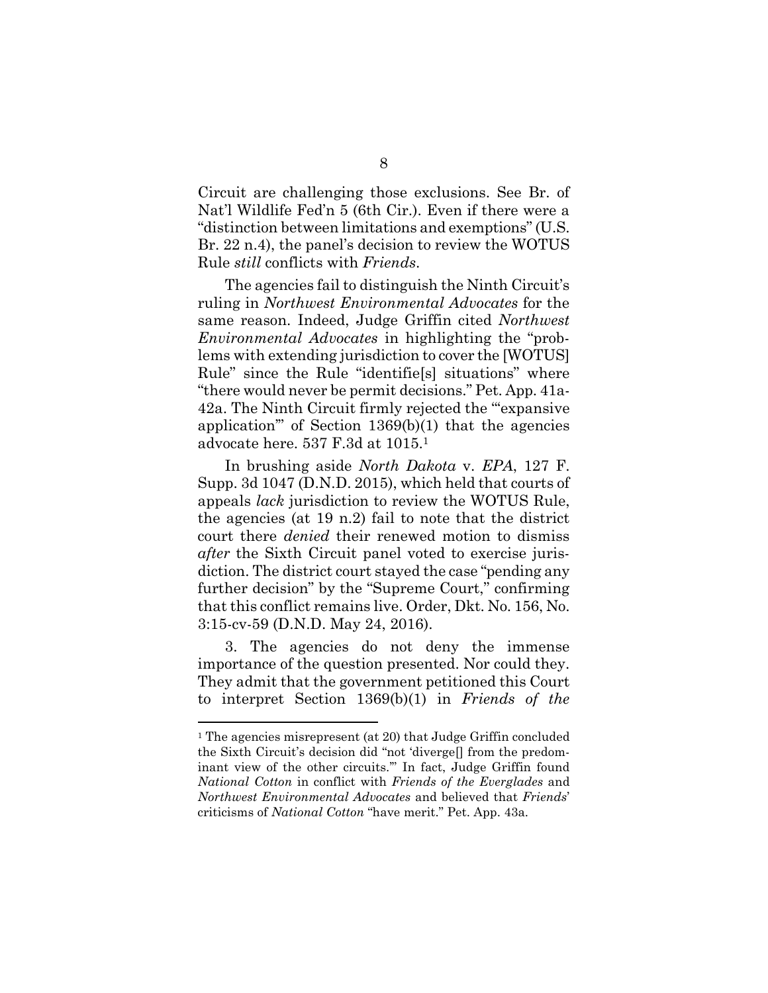Circuit are challenging those exclusions. See Br. of Nat'l Wildlife Fed'n 5 (6th Cir.). Even if there were a "distinction between limitations and exemptions" (U.S. Br. 22 n.4), the panel's decision to review the WOTUS Rule *still* conflicts with *Friends*.

The agencies fail to distinguish the Ninth Circuit's ruling in *Northwest Environmental Advocates* for the same reason. Indeed, Judge Griffin cited *Northwest Environmental Advocates* in highlighting the "problems with extending jurisdiction to cover the [WOTUS] Rule" since the Rule "identifie[s] situations" where "there would never be permit decisions." Pet. App. 41a-42a. The Ninth Circuit firmly rejected the "'expansive application'" of Section 1369(b)(1) that the agencies advocate here. 537 F.3d at 1015.<sup>1</sup>

In brushing aside *North Dakota* v. *EPA*, 127 F. Supp. 3d 1047 (D.N.D. 2015), which held that courts of appeals *lack* jurisdiction to review the WOTUS Rule, the agencies (at 19 n.2) fail to note that the district court there *denied* their renewed motion to dismiss *after* the Sixth Circuit panel voted to exercise jurisdiction. The district court stayed the case "pending any further decision" by the "Supreme Court," confirming that this conflict remains live. Order, Dkt. No. 156, No. 3:15-cv-59 (D.N.D. May 24, 2016).

3. The agencies do not deny the immense importance of the question presented. Nor could they. They admit that the government petitioned this Court to interpret Section 1369(b)(1) in *Friends of the*

<sup>&</sup>lt;sup>1</sup> The agencies misrepresent (at 20) that Judge Griffin concluded the Sixth Circuit's decision did "not 'diverge[] from the predominant view of the other circuits.'" In fact, Judge Griffin found *National Cotton* in conflict with *Friends of the Everglades* and *Northwest Environmental Advocates* and believed that *Friends*' criticisms of *National Cotton* "have merit." Pet. App. 43a.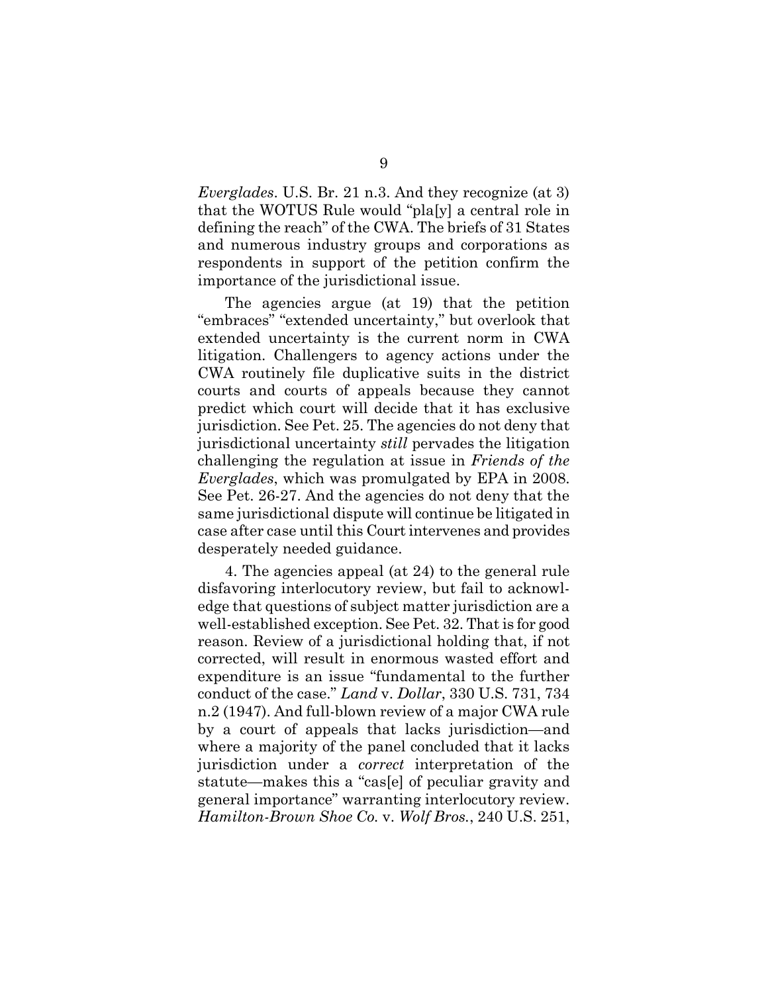*Everglades*. U.S. Br. 21 n.3. And they recognize (at 3) that the WOTUS Rule would "pla[y] a central role in defining the reach" of the CWA. The briefs of 31 States and numerous industry groups and corporations as respondents in support of the petition confirm the importance of the jurisdictional issue.

The agencies argue (at 19) that the petition "embraces" "extended uncertainty," but overlook that extended uncertainty is the current norm in CWA litigation. Challengers to agency actions under the CWA routinely file duplicative suits in the district courts and courts of appeals because they cannot predict which court will decide that it has exclusive jurisdiction. See Pet. 25. The agencies do not deny that jurisdictional uncertainty *still* pervades the litigation challenging the regulation at issue in *Friends of the Everglades*, which was promulgated by EPA in 2008. See Pet. 26-27. And the agencies do not deny that the same jurisdictional dispute will continue be litigated in case after case until this Court intervenes and provides desperately needed guidance.

4. The agencies appeal (at 24) to the general rule disfavoring interlocutory review, but fail to acknowledge that questions of subject matter jurisdiction are a well-established exception. See Pet. 32. That is for good reason. Review of a jurisdictional holding that, if not corrected, will result in enormous wasted effort and expenditure is an issue "fundamental to the further conduct of the case." *Land* v. *Dollar*, 330 U.S. 731, 734 n.2 (1947). And full-blown review of a major CWA rule by a court of appeals that lacks jurisdiction—and where a majority of the panel concluded that it lacks jurisdiction under a *correct* interpretation of the statute—makes this a "cas[e] of peculiar gravity and general importance" warranting interlocutory review. *Hamilton-Brown Shoe Co.* v. *Wolf Bros.*, 240 U.S. 251,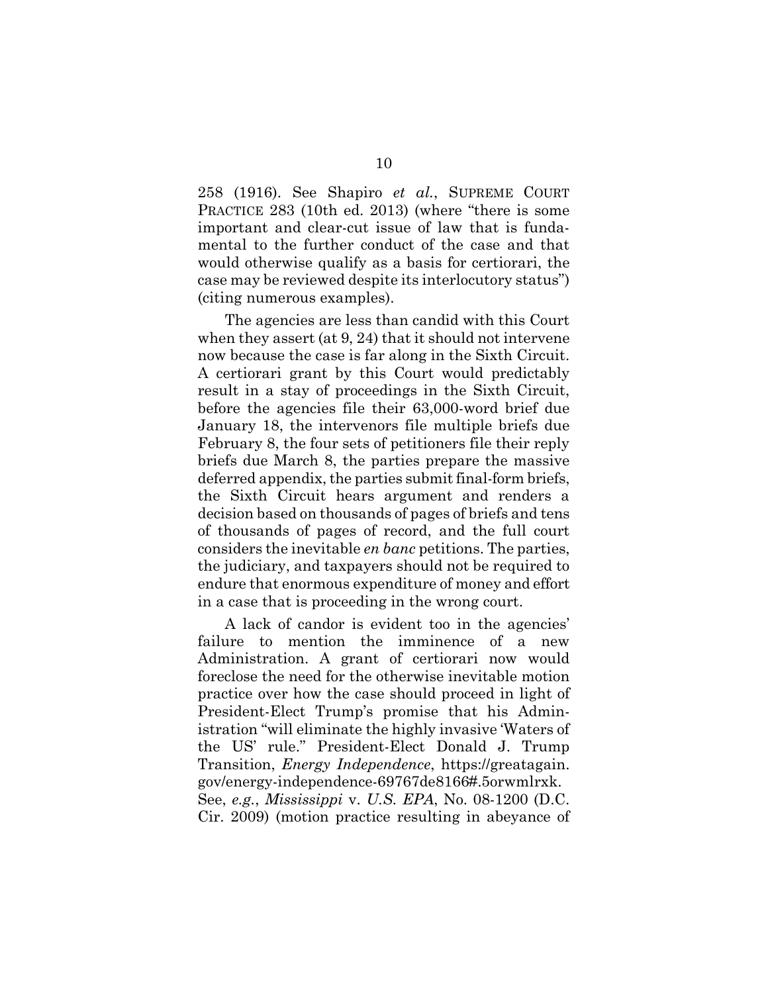258 (1916). See Shapiro *et al.*, SUPREME COURT PRACTICE 283 (10th ed. 2013) (where "there is some important and clear-cut issue of law that is fundamental to the further conduct of the case and that would otherwise qualify as a basis for certiorari, the case may be reviewed despite its interlocutory status") (citing numerous examples).

The agencies are less than candid with this Court when they assert (at 9, 24) that it should not intervene now because the case is far along in the Sixth Circuit. A certiorari grant by this Court would predictably result in a stay of proceedings in the Sixth Circuit, before the agencies file their 63,000-word brief due January 18, the intervenors file multiple briefs due February 8, the four sets of petitioners file their reply briefs due March 8, the parties prepare the massive deferred appendix, the parties submit final-form briefs, the Sixth Circuit hears argument and renders a decision based on thousands of pages of briefs and tens of thousands of pages of record, and the full court considers the inevitable *en banc* petitions. The parties, the judiciary, and taxpayers should not be required to endure that enormous expenditure of money and effort in a case that is proceeding in the wrong court.

A lack of candor is evident too in the agencies' failure to mention the imminence of a new Administration. A grant of certiorari now would foreclose the need for the otherwise inevitable motion practice over how the case should proceed in light of President-Elect Trump's promise that his Administration "will eliminate the highly invasive 'Waters of the US' rule." President-Elect Donald J. Trump Transition, *Energy Independence*, https://greatagain. gov/energy-independence-69767de8166#.5orwmlrxk. See, *e.g.*, *Mississippi* v. *U.S. EPA*, No. 08-1200 (D.C. Cir. 2009) (motion practice resulting in abeyance of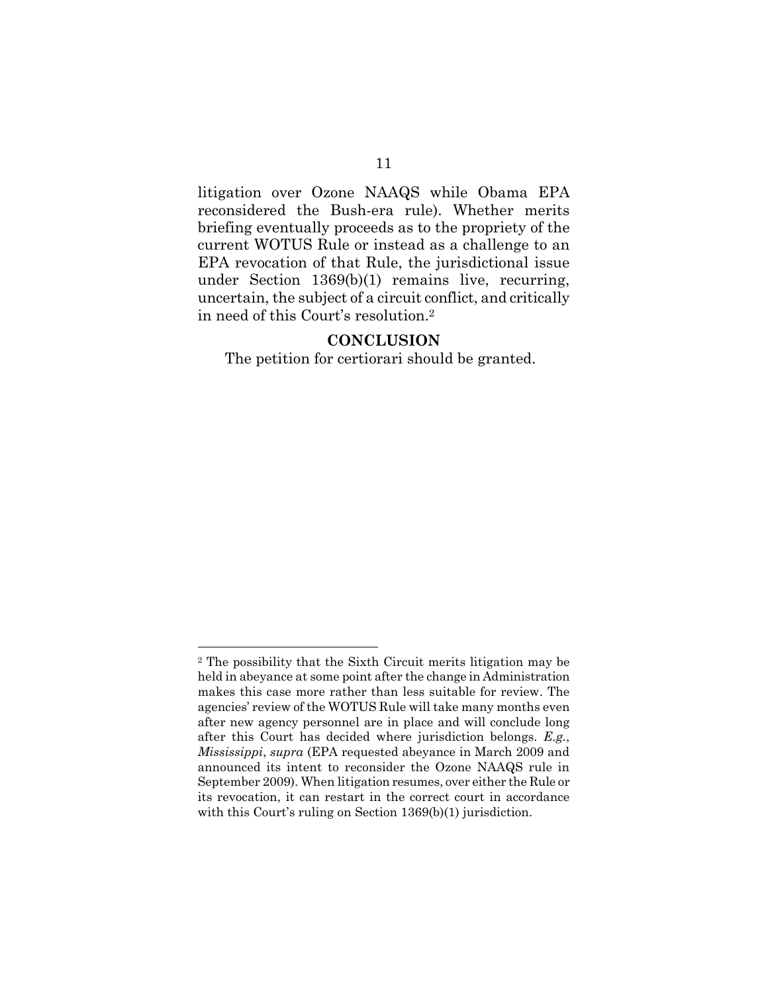litigation over Ozone NAAQS while Obama EPA reconsidered the Bush-era rule). Whether merits briefing eventually proceeds as to the propriety of the current WOTUS Rule or instead as a challenge to an EPA revocation of that Rule, the jurisdictional issue under Section 1369(b)(1) remains live, recurring, uncertain, the subject of a circuit conflict, and critically in need of this Court's resolution.<sup>2</sup>

### **CONCLUSION**

The petition for certiorari should be granted.

<sup>2</sup> The possibility that the Sixth Circuit merits litigation may be held in abeyance at some point after the change in Administration makes this case more rather than less suitable for review. The agencies' review of the WOTUS Rule will take many months even after new agency personnel are in place and will conclude long after this Court has decided where jurisdiction belongs. *E.g.*, *Mississippi*, *supra* (EPA requested abeyance in March 2009 and announced its intent to reconsider the Ozone NAAQS rule in September 2009). When litigation resumes, over either the Rule or its revocation, it can restart in the correct court in accordance with this Court's ruling on Section 1369(b)(1) jurisdiction.